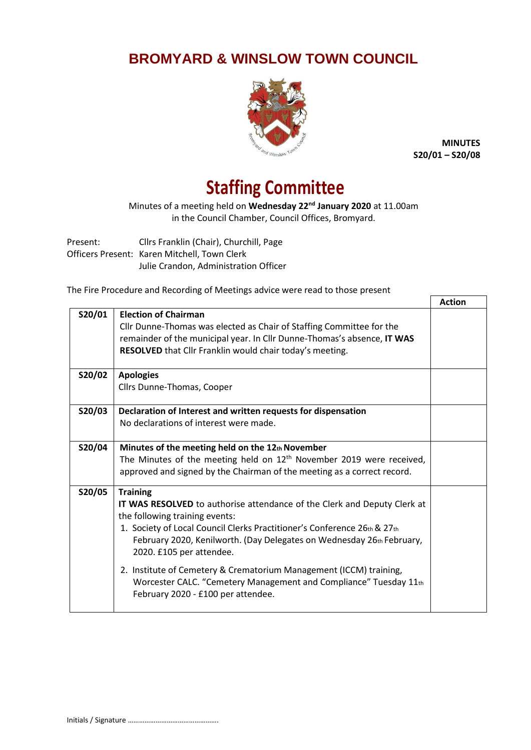## **BROMYARD & WINSLOW TOWN COUNCIL**



**MINUTES S20/01 – S20/08**

## **Staffing Committee**

Minutes of a meeting held on **Wednesday 22nd January 2020** at 11.00am in the Council Chamber, Council Offices, Bromyard.

Present: Cllrs Franklin (Chair), Churchill, Page Officers Present: Karen Mitchell, Town Clerk Julie Crandon, Administration Officer

The Fire Procedure and Recording of Meetings advice were read to those present

|        |                                                                          | <b>Action</b> |
|--------|--------------------------------------------------------------------------|---------------|
| S20/01 | <b>Election of Chairman</b>                                              |               |
|        | Cllr Dunne-Thomas was elected as Chair of Staffing Committee for the     |               |
|        | remainder of the municipal year. In Cllr Dunne-Thomas's absence, IT WAS  |               |
|        | RESOLVED that Cllr Franklin would chair today's meeting.                 |               |
| S20/02 | <b>Apologies</b>                                                         |               |
|        | Cllrs Dunne-Thomas, Cooper                                               |               |
| S20/03 | Declaration of Interest and written requests for dispensation            |               |
|        | No declarations of interest were made.                                   |               |
| S20/04 | Minutes of the meeting held on the 12th November                         |               |
|        | The Minutes of the meeting held on $12th$ November 2019 were received,   |               |
|        | approved and signed by the Chairman of the meeting as a correct record.  |               |
| S20/05 | <b>Training</b>                                                          |               |
|        | IT WAS RESOLVED to authorise attendance of the Clerk and Deputy Clerk at |               |
|        | the following training events:                                           |               |
|        | 1. Society of Local Council Clerks Practitioner's Conference 26th & 27th |               |
|        | February 2020, Kenilworth. (Day Delegates on Wednesday 26th February,    |               |
|        | 2020. £105 per attendee.                                                 |               |
|        | 2. Institute of Cemetery & Crematorium Management (ICCM) training,       |               |
|        | Worcester CALC. "Cemetery Management and Compliance" Tuesday 11th        |               |
|        | February 2020 - £100 per attendee.                                       |               |
|        |                                                                          |               |